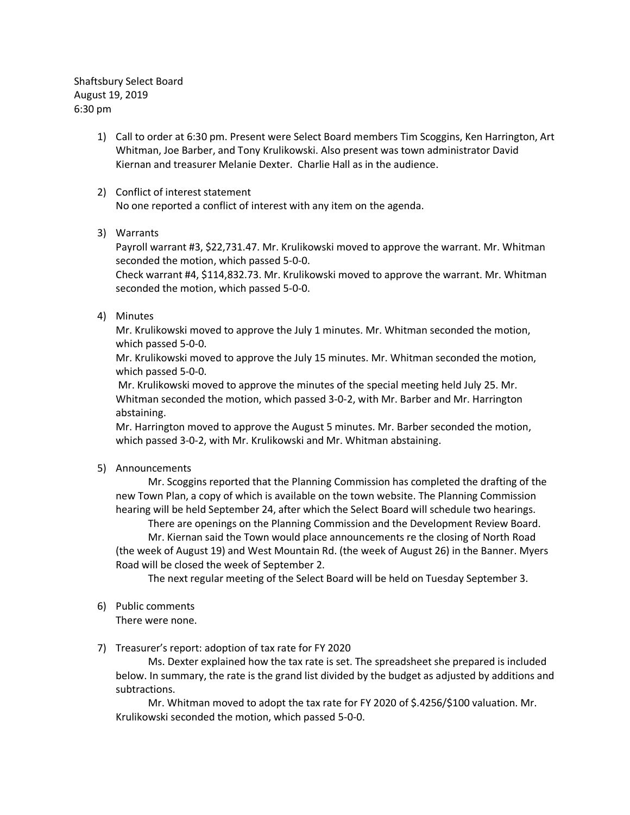Shaftsbury Select Board August 19, 2019 6:30 pm

- 1) Call to order at 6:30 pm. Present were Select Board members Tim Scoggins, Ken Harrington, Art Whitman, Joe Barber, and Tony Krulikowski. Also present was town administrator David Kiernan and treasurer Melanie Dexter. Charlie Hall as in the audience.
- 2) Conflict of interest statement No one reported a conflict of interest with any item on the agenda.
- 3) Warrants

Payroll warrant #3, \$22,731.47. Mr. Krulikowski moved to approve the warrant. Mr. Whitman seconded the motion, which passed 5-0-0.

Check warrant #4, \$114,832.73. Mr. Krulikowski moved to approve the warrant. Mr. Whitman seconded the motion, which passed 5-0-0.

4) Minutes

Mr. Krulikowski moved to approve the July 1 minutes. Mr. Whitman seconded the motion, which passed 5-0-0.

Mr. Krulikowski moved to approve the July 15 minutes. Mr. Whitman seconded the motion, which passed 5-0-0.

Mr. Krulikowski moved to approve the minutes of the special meeting held July 25. Mr. Whitman seconded the motion, which passed 3-0-2, with Mr. Barber and Mr. Harrington abstaining.

Mr. Harrington moved to approve the August 5 minutes. Mr. Barber seconded the motion, which passed 3-0-2, with Mr. Krulikowski and Mr. Whitman abstaining.

5) Announcements

Mr. Scoggins reported that the Planning Commission has completed the drafting of the new Town Plan, a copy of which is available on the town website. The Planning Commission hearing will be held September 24, after which the Select Board will schedule two hearings.

There are openings on the Planning Commission and the Development Review Board. Mr. Kiernan said the Town would place announcements re the closing of North Road (the week of August 19) and West Mountain Rd. (the week of August 26) in the Banner. Myers Road will be closed the week of September 2.

The next regular meeting of the Select Board will be held on Tuesday September 3.

6) Public comments

There were none.

7) Treasurer's report: adoption of tax rate for FY 2020

Ms. Dexter explained how the tax rate is set. The spreadsheet she prepared is included below. In summary, the rate is the grand list divided by the budget as adjusted by additions and subtractions.

Mr. Whitman moved to adopt the tax rate for FY 2020 of \$.4256/\$100 valuation. Mr. Krulikowski seconded the motion, which passed 5-0-0.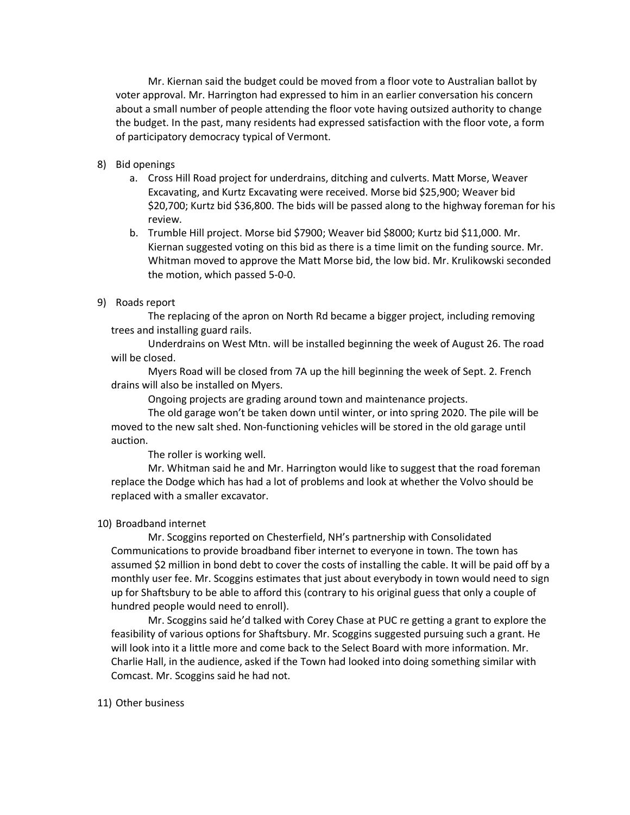Mr. Kiernan said the budget could be moved from a floor vote to Australian ballot by voter approval. Mr. Harrington had expressed to him in an earlier conversation his concern about a small number of people attending the floor vote having outsized authority to change the budget. In the past, many residents had expressed satisfaction with the floor vote, a form of participatory democracy typical of Vermont.

## 8) Bid openings

- a. Cross Hill Road project for underdrains, ditching and culverts. Matt Morse, Weaver Excavating, and Kurtz Excavating were received. Morse bid \$25,900; Weaver bid \$20,700; Kurtz bid \$36,800. The bids will be passed along to the highway foreman for his review.
- b. Trumble Hill project. Morse bid \$7900; Weaver bid \$8000; Kurtz bid \$11,000. Mr. Kiernan suggested voting on this bid as there is a time limit on the funding source. Mr. Whitman moved to approve the Matt Morse bid, the low bid. Mr. Krulikowski seconded the motion, which passed 5-0-0.

### 9) Roads report

The replacing of the apron on North Rd became a bigger project, including removing trees and installing guard rails.

Underdrains on West Mtn. will be installed beginning the week of August 26. The road will be closed.

Myers Road will be closed from 7A up the hill beginning the week of Sept. 2. French drains will also be installed on Myers.

Ongoing projects are grading around town and maintenance projects.

The old garage won't be taken down until winter, or into spring 2020. The pile will be moved to the new salt shed. Non-functioning vehicles will be stored in the old garage until auction.

The roller is working well.

Mr. Whitman said he and Mr. Harrington would like to suggest that the road foreman replace the Dodge which has had a lot of problems and look at whether the Volvo should be replaced with a smaller excavator.

### 10) Broadband internet

Mr. Scoggins reported on Chesterfield, NH's partnership with Consolidated Communications to provide broadband fiber internet to everyone in town. The town has assumed \$2 million in bond debt to cover the costs of installing the cable. It will be paid off by a monthly user fee. Mr. Scoggins estimates that just about everybody in town would need to sign up for Shaftsbury to be able to afford this (contrary to his original guess that only a couple of hundred people would need to enroll).

Mr. Scoggins said he'd talked with Corey Chase at PUC re getting a grant to explore the feasibility of various options for Shaftsbury. Mr. Scoggins suggested pursuing such a grant. He will look into it a little more and come back to the Select Board with more information. Mr. Charlie Hall, in the audience, asked if the Town had looked into doing something similar with Comcast. Mr. Scoggins said he had not.

### 11) Other business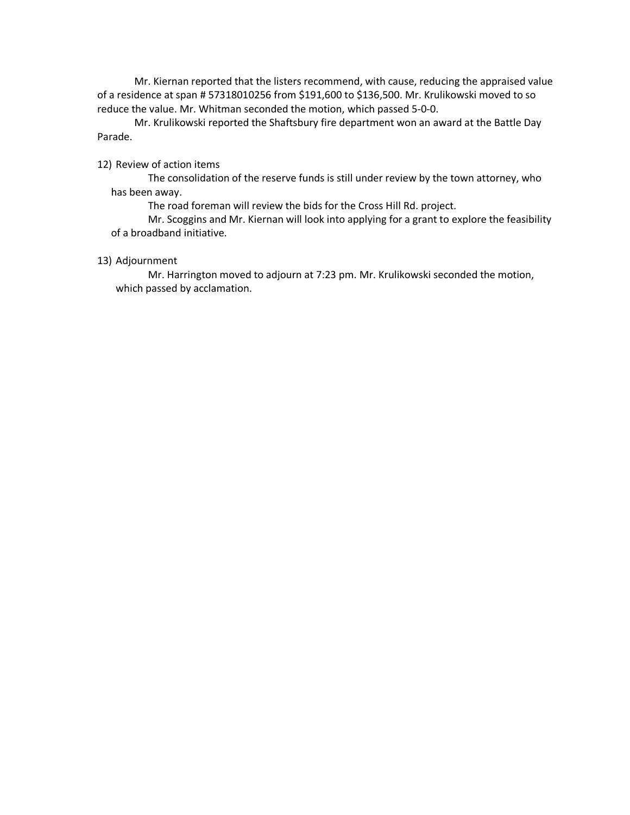Mr. Kiernan reported that the listers recommend, with cause, reducing the appraised value of a residence at span # 57318010256 from \$191,600 to \$136,500. Mr. Krulikowski moved to so reduce the value. Mr. Whitman seconded the motion, which passed 5-0-0.

Mr. Krulikowski reported the Shaftsbury fire department won an award at the Battle Day Parade.

12) Review of action items

The consolidation of the reserve funds is still under review by the town attorney, who has been away.

The road foreman will review the bids for the Cross Hill Rd. project.

Mr. Scoggins and Mr. Kiernan will look into applying for a grant to explore the feasibility of a broadband initiative.

# 13) Adjournment

Mr. Harrington moved to adjourn at 7:23 pm. Mr. Krulikowski seconded the motion, which passed by acclamation.